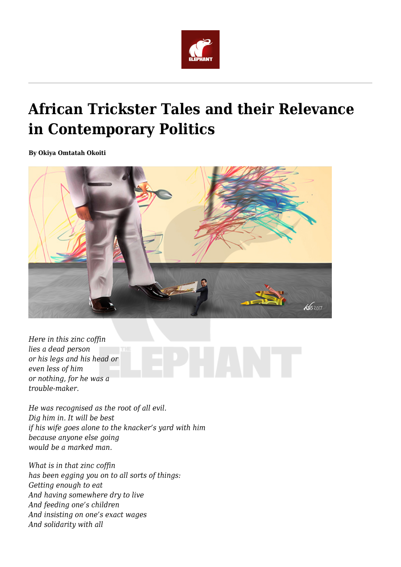

## **African Trickster Tales and their Relevance in Contemporary Politics**

**By Okiya Omtatah Okoiti**



*Here in this zinc coffin lies a dead person or his legs and his head or even less of him or nothing, for he was a trouble-maker.*

*He was recognised as the root of all evil. Dig him in. It will be best if his wife goes alone to the knacker's yard with him because anyone else going would be a marked man.*

*What is in that zinc coffin has been egging you on to all sorts of things: Getting enough to eat And having somewhere dry to live And feeding one's children And insisting on one's exact wages And solidarity with all*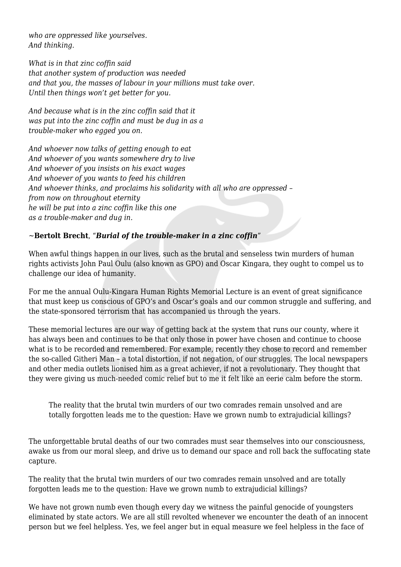*who are oppressed like yourselves. And thinking.*

*What is in that zinc coffin said that another system of production was needed and that you, the masses of labour in your millions must take over. Until then things won't get better for you.*

*And because what is in the zinc coffin said that it was put into the zinc coffin and must be dug in as a trouble-maker who egged you on.*

*And whoever now talks of getting enough to eat And whoever of you wants somewhere dry to live And whoever of you insists on his exact wages And whoever of you wants to feed his children And whoever thinks, and proclaims his solidarity with all who are oppressed – from now on throughout eternity he will be put into a zinc coffin like this one as a trouble-maker and dug in.*

## *~***Bertolt Brecht**, "*Burial of the trouble-maker in a zinc coffin*"

When awful things happen in our lives, such as the brutal and senseless twin murders of human rights activists John Paul Oulu (also known as GPO) and Oscar Kingara, they ought to compel us to challenge our idea of humanity.

For me the annual Oulu-Kingara Human Rights Memorial Lecture is an event of great significance that must keep us conscious of GPO's and Oscar's goals and our common struggle and suffering, and the state-sponsored terrorism that has accompanied us through the years.

These memorial lectures are our way of getting back at the system that runs our county, where it has always been and continues to be that only those in power have chosen and continue to choose what is to be recorded and remembered. For example, recently they chose to record and remember the so-called Githeri Man – a total distortion, if not negation, of our struggles. The local newspapers and other media outlets lionised him as a great achiever, if not a revolutionary. They thought that they were giving us much-needed comic relief but to me it felt like an eerie calm before the storm.

The reality that the brutal twin murders of our two comrades remain unsolved and are totally forgotten leads me to the question: Have we grown numb to extrajudicial killings?

The unforgettable brutal deaths of our two comrades must sear themselves into our consciousness, awake us from our moral sleep, and drive us to demand our space and roll back the suffocating state capture.

The reality that the brutal twin murders of our two comrades remain unsolved and are totally forgotten leads me to the question: Have we grown numb to extrajudicial killings?

We have not grown numb even though every day we witness the painful genocide of youngsters eliminated by state actors. We are all still revolted whenever we encounter the death of an innocent person but we feel helpless. Yes, we feel anger but in equal measure we feel helpless in the face of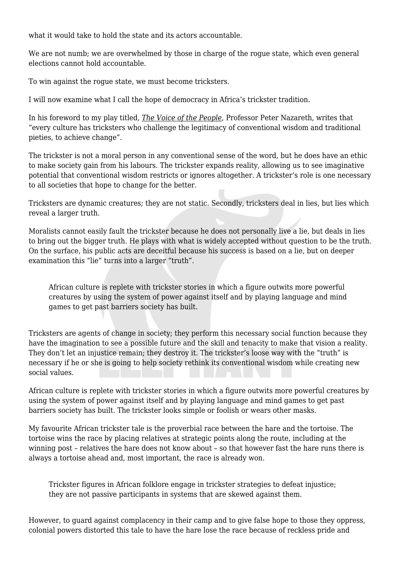what it would take to hold the state and its actors accountable.

We are not numb; we are overwhelmed by those in charge of the rogue state, which even general elections cannot hold accountable.

To win against the rogue state, we must become tricksters.

I will now examine what I call the hope of democracy in Africa's trickster tradition.

In his foreword to my play titled, *The Voice of the People*, Professor Peter Nazareth, writes that "every culture has tricksters who challenge the legitimacy of conventional wisdom and traditional pieties, to achieve change".

The trickster is not a moral person in any conventional sense of the word, but he does have an ethic to make society gain from his labours. The trickster expands reality, allowing us to see imaginative potential that conventional wisdom restricts or ignores altogether. A trickster's role is one necessary to all societies that hope to change for the better.

Tricksters are dynamic creatures; they are not static. Secondly, tricksters deal in lies, but lies which reveal a larger truth.

Moralists cannot easily fault the trickster because he does not personally live a lie, but deals in lies to bring out the bigger truth. He plays with what is widely accepted without question to be the truth. On the surface, his public acts are deceitful because his success is based on a lie, but on deeper examination this "lie" turns into a larger "truth".

African culture is replete with trickster stories in which a figure outwits more powerful creatures by using the system of power against itself and by playing language and mind games to get past barriers society has built.

Tricksters are agents of change in society; they perform this necessary social function because they have the imagination to see a possible future and the skill and tenacity to make that vision a reality. They don't let an injustice remain; they destroy it. The trickster's loose way with the "truth" is necessary if he or she is going to help society rethink its conventional wisdom while creating new social values.

African culture is replete with trickster stories in which a figure outwits more powerful creatures by using the system of power against itself and by playing language and mind games to get past barriers society has built. The trickster looks simple or foolish or wears other masks.

My favourite African trickster tale is the proverbial race between the hare and the tortoise. The tortoise wins the race by placing relatives at strategic points along the route, including at the winning post – relatives the hare does not know about – so that however fast the hare runs there is always a tortoise ahead and, most important, the race is already won.

Trickster figures in African folklore engage in trickster strategies to defeat injustice; they are not passive participants in systems that are skewed against them.

However, to guard against complacency in their camp and to give false hope to those they oppress, colonial powers distorted this tale to have the hare lose the race because of reckless pride and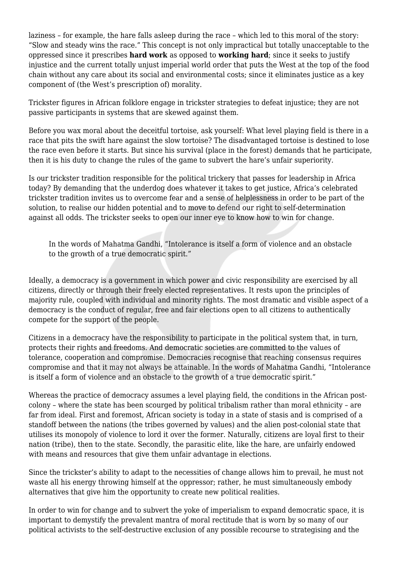laziness – for example, the hare falls asleep during the race – which led to this moral of the story: "Slow and steady wins the race." This concept is not only impractical but totally unacceptable to the oppressed since it prescribes **hard work** as opposed to **working hard**; since it seeks to justify injustice and the current totally unjust imperial world order that puts the West at the top of the food chain without any care about its social and environmental costs; since it eliminates justice as a key component of (the West's prescription of) morality.

Trickster figures in African folklore engage in trickster strategies to defeat injustice; they are not passive participants in systems that are skewed against them.

Before you wax moral about the deceitful tortoise, ask yourself: What level playing field is there in a race that pits the swift hare against the slow tortoise? The disadvantaged tortoise is destined to lose the race even before it starts. But since his survival (place in the forest) demands that he participate, then it is his duty to change the rules of the game to subvert the hare's unfair superiority.

Is our trickster tradition responsible for the political trickery that passes for leadership in Africa today? By demanding that the underdog does whatever it takes to get justice, Africa's celebrated trickster tradition invites us to overcome fear and a sense of helplessness in order to be part of the solution, to realise our hidden potential and to move to defend our right to self-determination against all odds. The trickster seeks to open our inner eye to know how to win for change.

In the words of Mahatma Gandhi, "Intolerance is itself a form of violence and an obstacle to the growth of a true democratic spirit."

Ideally, a democracy is a government in which power and civic responsibility are exercised by all citizens, directly or through their freely elected representatives. It rests upon the principles of majority rule, coupled with individual and minority rights. The most dramatic and visible aspect of a democracy is the conduct of regular, free and fair elections open to all citizens to authentically compete for the support of the people.

Citizens in a democracy have the responsibility to participate in the political system that, in turn, protects their rights and freedoms. And democratic societies are committed to the values of tolerance, cooperation and compromise. Democracies recognise that reaching consensus requires compromise and that it may not always be attainable. In the words of Mahatma Gandhi, "Intolerance is itself a form of violence and an obstacle to the growth of a true democratic spirit."

Whereas the practice of democracy assumes a level playing field, the conditions in the African postcolony – where the state has been scourged by political tribalism rather than moral ethnicity – are far from ideal. First and foremost, African society is today in a state of stasis and is comprised of a standoff between the nations (the tribes governed by values) and the alien post-colonial state that utilises its monopoly of violence to lord it over the former. Naturally, citizens are loyal first to their nation (tribe), then to the state. Secondly, the parasitic elite, like the hare, are unfairly endowed with means and resources that give them unfair advantage in elections.

Since the trickster's ability to adapt to the necessities of change allows him to prevail, he must not waste all his energy throwing himself at the oppressor; rather, he must simultaneously embody alternatives that give him the opportunity to create new political realities.

In order to win for change and to subvert the yoke of imperialism to expand democratic space, it is important to demystify the prevalent mantra of moral rectitude that is worn by so many of our political activists to the self-destructive exclusion of any possible recourse to strategising and the